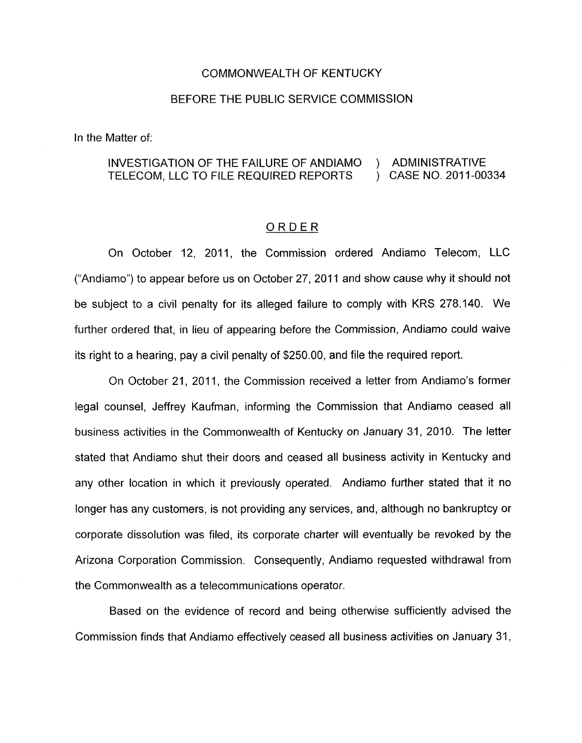## COMMONWEALTH OF KENTUCKY

## BEFORE THE PUBLIC SERVICE COMMISSION

In the Matter of:

## INVESTIGATION OF THE FAILURE OF ANDIAMO ) ADMINISTRATIVE<br>TELECOM. LLC TO FILE REQUIRED REPORTS ) CASE NO. 2011-00334 TELECOM, LLC TO FILE REQUIRED REPORTS

## ORDER

On October 12, 2011, the Commission ordered Andiamo Telecom, LLC ("Andiamo") to appear before us on October 27, 2011 and show cause why it should not be subject to a civil penalty for its alleged failure to comply with KRS 278.140. We further ordered that, in lieu of appearing before the Commission, Andiamo could waive its right to a hearing, pay a civil penalty of \$250.00, and file the required report.

On October 21, 2011, the Commission received a letter from Andiamo's former legal counsel, Jeffrey Kaufman, informing the Commission that Andiamo ceased all business activities in the Commonwealth of Kentucky on January 31, 2010. The letter stated that Andiamo shut their doors and ceased all business activity in Kentucky and any other location in which it previously operated. Andiamo further stated that it no longer has any customers, is not providing any services, and, although no bankruptcy or corporate dissolution was filed, its corporate charter will eventually be revoked by the Arizona Corporation Commission. Consequently, Andiamo requested withdrawal from the Commonwealth as a telecommunications operator.

Based on the evidence of record and being otherwise sufficiently advised the Commission finds that Andiamo effectively ceased all business activities on January 31,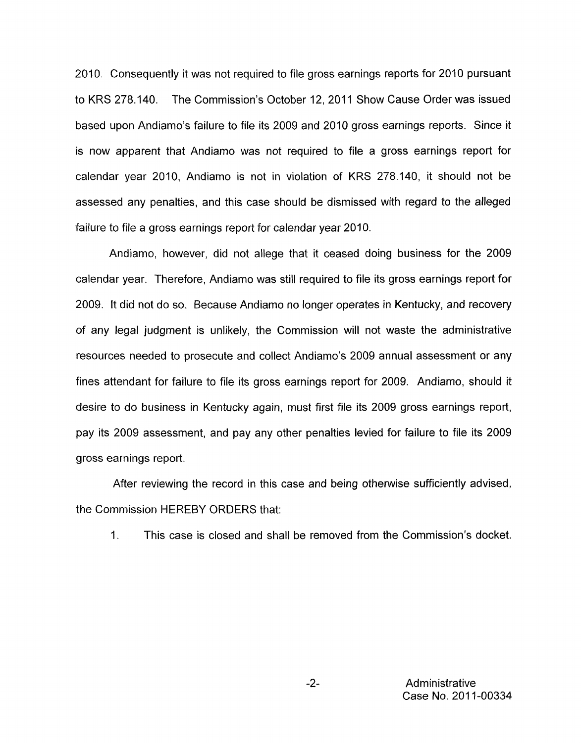2010. Consequently it was not required to file gross earnings reports for 2010 pursuant to KRS 278.140. The Commission's October 12, 2011 Show Cause Order was issued based upon Andiamo's failure to file its 2009 and 2010 gross earnings reports. Since it is now apparent that Andiamo was not required to file a gross earnings report for calendar year 2010, Andiamo is not in violation of KRS 278.140, it should not be assessed any penalties, and this case should be dismissed with regard to the alleged failure to file a gross earnings report for calendar year 2010.

Andiamo, however, did not allege that it ceased doing business for the 2009 calendar year. Therefore, Andiamo was still required to file its gross earnings report for 2009. It did not do so. Because Andiamo no longer operates in Kentucky, and recovery of any legal judgment is unlikely, the Commission will not waste the administrative resources needed to prosecute and collect Andiamo's 2009 annual assessment or any fines attendant for failure to file its gross earnings report for 2009. Andiamo, should it desire to do business in Kentucky again, must first file its 2009 gross earnings report, pay its 2009 assessment, and pay any other penalties levied for failure to file its 2009 gross earnings report.

After reviewing the record in this case and being otherwise sufficiently advised, the Commission HEREBY ORDERS that:

1. This case is closed and shall be removed from the Commission's docket.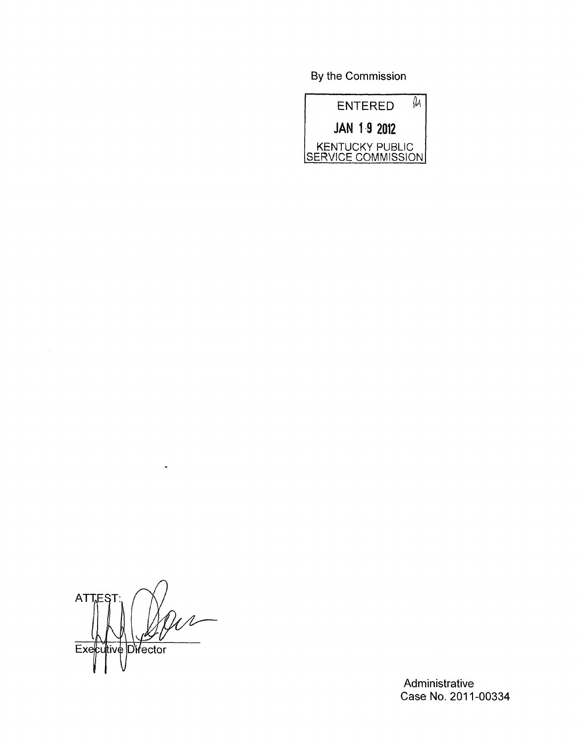By the Commission



*n*  ATTES Executive Director

 $\omega$ 

Administrative Case No. 2011-00334